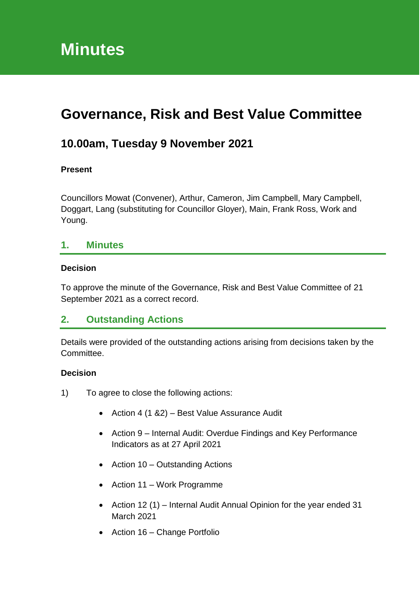# **Governance, Risk and Best Value Committee**

# **10.00am, Tuesday 9 November 2021**

#### **Present**

Councillors Mowat (Convener), Arthur, Cameron, Jim Campbell, Mary Campbell, Doggart, Lang (substituting for Councillor Gloyer), Main, Frank Ross, Work and Young.

### **1. Minutes**

#### **Decision**

To approve the minute of the Governance, Risk and Best Value Committee of 21 September 2021 as a correct record.

### **2. Outstanding Actions**

Details were provided of the outstanding actions arising from decisions taken by the Committee.

#### **Decision**

- 1) To agree to close the following actions:
	- Action 4 (1 & 2) Best Value Assurance Audit
	- Action 9 Internal Audit: Overdue Findings and Key Performance Indicators as at 27 April 2021
	- Action 10 Outstanding Actions
	- Action 11 Work Programme
	- Action 12 (1) Internal Audit Annual Opinion for the year ended 31 March 2021
	- Action 16 Change Portfolio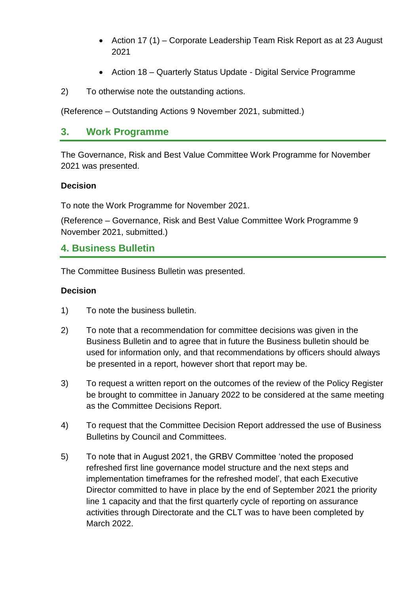- Action 17 (1) Corporate Leadership Team Risk Report as at 23 August 2021
- Action 18 Quarterly Status Update Digital Service Programme
- 2) To otherwise note the outstanding actions.

(Reference – Outstanding Actions 9 November 2021, submitted.)

### **3. Work Programme**

The Governance, Risk and Best Value Committee Work Programme for November 2021 was presented.

#### **Decision**

To note the Work Programme for November 2021.

(Reference – Governance, Risk and Best Value Committee Work Programme 9 November 2021, submitted.)

### **4. Business Bulletin**

The Committee Business Bulletin was presented.

#### **Decision**

- 1) To note the business bulletin.
- 2) To note that a recommendation for committee decisions was given in the Business Bulletin and to agree that in future the Business bulletin should be used for information only, and that recommendations by officers should always be presented in a report, however short that report may be.
- 3) To request a written report on the outcomes of the review of the Policy Register be brought to committee in January 2022 to be considered at the same meeting as the Committee Decisions Report.
- 4) To request that the Committee Decision Report addressed the use of Business Bulletins by Council and Committees.
- 5) To note that in August 2021, the GRBV Committee 'noted the proposed refreshed first line governance model structure and the next steps and implementation timeframes for the refreshed model', that each Executive Director committed to have in place by the end of September 2021 the priority line 1 capacity and that the first quarterly cycle of reporting on assurance activities through Directorate and the CLT was to have been completed by March 2022.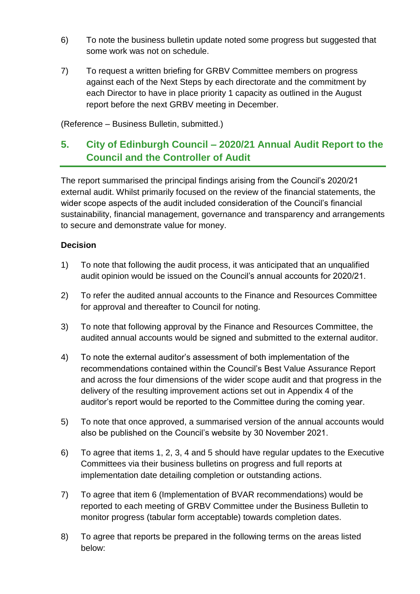- 6) To note the business bulletin update noted some progress but suggested that some work was not on schedule.
- 7) To request a written briefing for GRBV Committee members on progress against each of the Next Steps by each directorate and the commitment by each Director to have in place priority 1 capacity as outlined in the August report before the next GRBV meeting in December.

(Reference – Business Bulletin, submitted.)

# **5. City of Edinburgh Council – 2020/21 Annual Audit Report to the Council and the Controller of Audit**

The report summarised the principal findings arising from the Council's 2020/21 external audit. Whilst primarily focused on the review of the financial statements, the wider scope aspects of the audit included consideration of the Council's financial sustainability, financial management, governance and transparency and arrangements to secure and demonstrate value for money.

### **Decision**

- 1) To note that following the audit process, it was anticipated that an unqualified audit opinion would be issued on the Council's annual accounts for 2020/21.
- 2) To refer the audited annual accounts to the Finance and Resources Committee for approval and thereafter to Council for noting.
- 3) To note that following approval by the Finance and Resources Committee, the audited annual accounts would be signed and submitted to the external auditor.
- 4) To note the external auditor's assessment of both implementation of the recommendations contained within the Council's Best Value Assurance Report and across the four dimensions of the wider scope audit and that progress in the delivery of the resulting improvement actions set out in Appendix 4 of the auditor's report would be reported to the Committee during the coming year.
- 5) To note that once approved, a summarised version of the annual accounts would also be published on the Council's website by 30 November 2021.
- 6) To agree that items 1, 2, 3, 4 and 5 should have regular updates to the Executive Committees via their business bulletins on progress and full reports at implementation date detailing completion or outstanding actions.
- 7) To agree that item 6 (Implementation of BVAR recommendations) would be reported to each meeting of GRBV Committee under the Business Bulletin to monitor progress (tabular form acceptable) towards completion dates.
- 8) To agree that reports be prepared in the following terms on the areas listed below: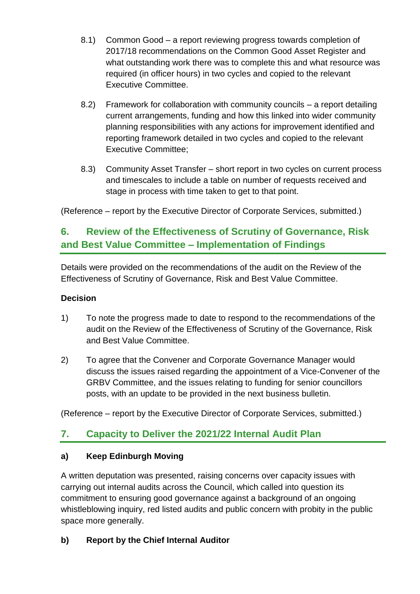- 8.1) Common Good a report reviewing progress towards completion of 2017/18 recommendations on the Common Good Asset Register and what outstanding work there was to complete this and what resource was required (in officer hours) in two cycles and copied to the relevant Executive Committee.
- 8.2) Framework for collaboration with community councils a report detailing current arrangements, funding and how this linked into wider community planning responsibilities with any actions for improvement identified and reporting framework detailed in two cycles and copied to the relevant Executive Committee;
- 8.3) Community Asset Transfer short report in two cycles on current process and timescales to include a table on number of requests received and stage in process with time taken to get to that point.

(Reference – report by the Executive Director of Corporate Services, submitted.)

# **6. Review of the Effectiveness of Scrutiny of Governance, Risk and Best Value Committee – Implementation of Findings**

Details were provided on the recommendations of the audit on the Review of the Effectiveness of Scrutiny of Governance, Risk and Best Value Committee.

#### **Decision**

- 1) To note the progress made to date to respond to the recommendations of the audit on the Review of the Effectiveness of Scrutiny of the Governance, Risk and Best Value Committee.
- 2) To agree that the Convener and Corporate Governance Manager would discuss the issues raised regarding the appointment of a Vice-Convener of the GRBV Committee, and the issues relating to funding for senior councillors posts, with an update to be provided in the next business bulletin.

(Reference – report by the Executive Director of Corporate Services, submitted.)

### **7. Capacity to Deliver the 2021/22 Internal Audit Plan**

#### **a) Keep Edinburgh Moving**

A written deputation was presented, raising concerns over capacity issues with carrying out internal audits across the Council, which called into question its commitment to ensuring good governance against a background of an ongoing whistleblowing inquiry, red listed audits and public concern with probity in the public space more generally.

### **b) Report by the Chief Internal Auditor**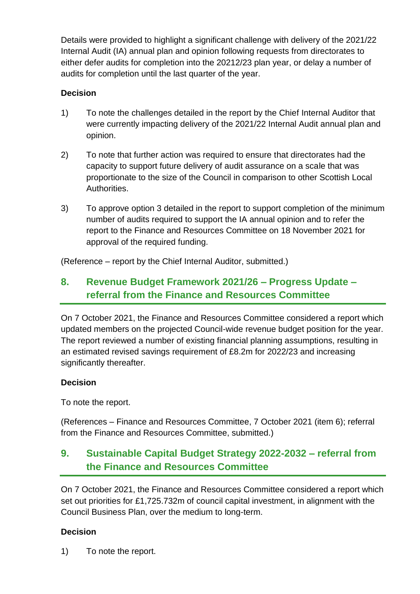Details were provided to highlight a significant challenge with delivery of the 2021/22 Internal Audit (IA) annual plan and opinion following requests from directorates to either defer audits for completion into the 20212/23 plan year, or delay a number of audits for completion until the last quarter of the year.

### **Decision**

- 1) To note the challenges detailed in the report by the Chief Internal Auditor that were currently impacting delivery of the 2021/22 Internal Audit annual plan and opinion.
- 2) To note that further action was required to ensure that directorates had the capacity to support future delivery of audit assurance on a scale that was proportionate to the size of the Council in comparison to other Scottish Local Authorities.
- 3) To approve option 3 detailed in the report to support completion of the minimum number of audits required to support the IA annual opinion and to refer the report to the Finance and Resources Committee on 18 November 2021 for approval of the required funding.

(Reference – report by the Chief Internal Auditor, submitted.)

### **8. Revenue Budget Framework 2021/26 – Progress Update – referral from the Finance and Resources Committee**

On 7 October 2021, the Finance and Resources Committee considered a report which updated members on the projected Council-wide revenue budget position for the year. The report reviewed a number of existing financial planning assumptions, resulting in an estimated revised savings requirement of £8.2m for 2022/23 and increasing significantly thereafter.

### **Decision**

To note the report.

(References – Finance and Resources Committee, 7 October 2021 (item 6); referral from the Finance and Resources Committee, submitted.)

### **9. Sustainable Capital Budget Strategy 2022-2032 – referral from the Finance and Resources Committee**

On 7 October 2021, the Finance and Resources Committee considered a report which set out priorities for £1,725.732m of council capital investment, in alignment with the Council Business Plan, over the medium to long-term.

### **Decision**

1) To note the report.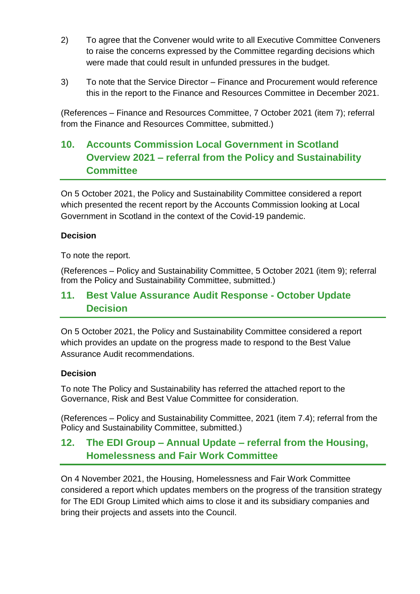- 2) To agree that the Convener would write to all Executive Committee Conveners to raise the concerns expressed by the Committee regarding decisions which were made that could result in unfunded pressures in the budget.
- 3) To note that the Service Director Finance and Procurement would reference this in the report to the Finance and Resources Committee in December 2021.

(References – Finance and Resources Committee, 7 October 2021 (item 7); referral from the Finance and Resources Committee, submitted.)

# **10. Accounts Commission Local Government in Scotland Overview 2021 – referral from the Policy and Sustainability Committee**

On 5 October 2021, the Policy and Sustainability Committee considered a report which presented the recent report by the Accounts Commission looking at Local Government in Scotland in the context of the Covid-19 pandemic.

### **Decision**

To note the report.

(References – Policy and Sustainability Committee, 5 October 2021 (item 9); referral from the Policy and Sustainability Committee, submitted.)

### **11. Best Value Assurance Audit Response - October Update Decision**

On 5 October 2021, the Policy and Sustainability Committee considered a report which provides an update on the progress made to respond to the Best Value Assurance Audit recommendations.

#### **Decision**

To note The Policy and Sustainability has referred the attached report to the Governance, Risk and Best Value Committee for consideration.

(References – Policy and Sustainability Committee, 2021 (item 7.4); referral from the Policy and Sustainability Committee, submitted.)

### **12. The EDI Group – Annual Update – referral from the Housing, Homelessness and Fair Work Committee**

On 4 November 2021, the Housing, Homelessness and Fair Work Committee considered a report which updates members on the progress of the transition strategy for The EDI Group Limited which aims to close it and its subsidiary companies and bring their projects and assets into the Council.